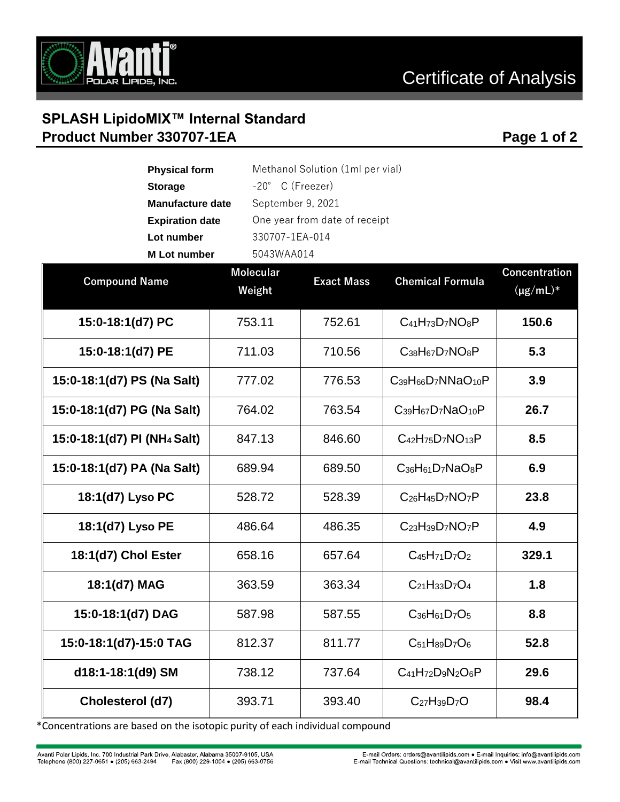

## **SPLASH LipidoMIX™ Internal Standard Product Number 330707-1EA Page 1 of 2 Page 1 of 2**

| <b>Physical form</b>                                    |                  | Methanol Solution (1ml per vial) |                             |                      |  |
|---------------------------------------------------------|------------------|----------------------------------|-----------------------------|----------------------|--|
| <b>Storage</b>                                          |                  | $-20^\circ$ C (Freezer)          |                             |                      |  |
| September 9, 2021<br><b>Manufacture date</b>            |                  |                                  |                             |                      |  |
| One year from date of receipt<br><b>Expiration date</b> |                  |                                  |                             |                      |  |
| Lot number                                              |                  | 330707-1EA-014                   |                             |                      |  |
| 5043WAA014<br><b>M</b> Lot number                       |                  |                                  |                             |                      |  |
|                                                         | <b>Molecular</b> |                                  | <b>Chemical Formula</b>     | <b>Concentration</b> |  |
| <b>Compound Name</b>                                    | Weight           | <b>Exact Mass</b>                |                             | $(\mu g/mL)^*$       |  |
| 15:0-18:1(d7) PC                                        | 753.11           | 752.61                           | $C_{41}H_{73}D_7NO_8P$      | 150.6                |  |
| 15:0-18:1(d7) PE                                        | 711.03           | 710.56                           | $C_{38}H_{67}D_7NO_8P$      | 5.3                  |  |
| 15:0-18:1(d7) PS (Na Salt)                              | 777.02           | 776.53                           | $C_{39}H_{66}D_7NNaO_{10}P$ | 3.9                  |  |
| 15:0-18:1(d7) PG (Na Salt)                              | 764.02           | 763.54                           | $C_{39}H_{67}D_7NaO_{10}P$  | 26.7                 |  |
| 15:0-18:1(d7) PI (NH <sub>4</sub> Salt)                 | 847.13           | 846.60                           | $C_{42}H_{75}D_7NO_{13}P$   | 8.5                  |  |
| 15:0-18:1(d7) PA (Na Salt)                              | 689.94           | 689.50                           | $C_{36}H_{61}D_7NaO_8P$     | 6.9                  |  |
| 18:1(d7) Lyso PC                                        | 528.72           | 528.39                           | $C_{26}H_{45}D_7NO_7P$      | 23.8                 |  |
| 18:1(d7) Lyso PE                                        | 486.64           | 486.35                           | $C_{23}H_{39}D_7NO_7P$      | 4.9                  |  |
| 18:1(d7) Chol Ester                                     | 658.16           | 657.64                           | $C_{45}H_{71}D_7O_2$        | 329.1                |  |
| 18:1(d7) MAG                                            | 363.59           | 363.34                           | $C_{21}H_{33}D_7O_4$        | 1.8                  |  |
| 15:0-18:1(d7) DAG                                       | 587.98           | 587.55                           | $C_{36}H_{61}D_7O_5$        | 8.8                  |  |
| 15:0-18:1(d7)-15:0 TAG                                  | 812.37           | 811.77                           | $C_{51}H_{89}D_7O_6$        | 52.8                 |  |
| d18:1-18:1(d9) SM                                       | 738.12           | 737.64                           | $C_{41}H_{72}D_9N_2O_6P$    | 29.6                 |  |
| Cholesterol (d7)                                        | 393.71           | 393.40                           | $C_{27}H_{39}D_7O$          | 98.4                 |  |

\*Concentrations are based on the isotopic purity of each individual compound